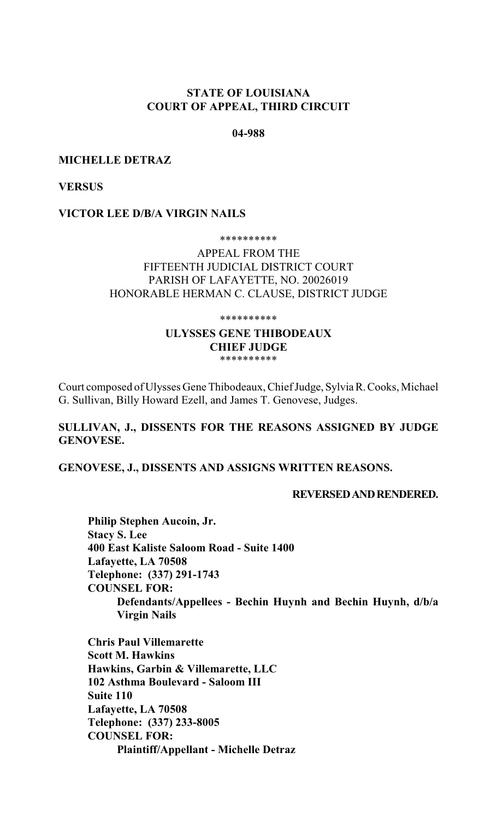# **STATE OF LOUISIANA COURT OF APPEAL, THIRD CIRCUIT**

## **04-988**

## **MICHELLE DETRAZ**

**VERSUS**

#### **VICTOR LEE D/B/A VIRGIN NAILS**

#### \*\*\*\*\*\*\*\*\*\*

# APPEAL FROM THE FIFTEENTH JUDICIAL DISTRICT COURT PARISH OF LAFAYETTE, NO. 20026019 HONORABLE HERMAN C. CLAUSE, DISTRICT JUDGE

\*\*\*\*\*\*\*\*\*\*

#### **ULYSSES GENE THIBODEAUX CHIEF JUDGE** \*\*\*\*\*\*\*\*\*\*

Court composed of Ulysses Gene Thibodeaux, Chief Judge, Sylvia R. Cooks, Michael G. Sullivan, Billy Howard Ezell, and James T. Genovese, Judges.

# **SULLIVAN, J., DISSENTS FOR THE REASONS ASSIGNED BY JUDGE GENOVESE.**

**GENOVESE, J., DISSENTS AND ASSIGNS WRITTEN REASONS.**

## **REVERSED AND RENDERED.**

**Philip Stephen Aucoin, Jr. Stacy S. Lee 400 East Kaliste Saloom Road - Suite 1400 Lafayette, LA 70508 Telephone: (337) 291-1743 COUNSEL FOR: Defendants/Appellees - Bechin Huynh and Bechin Huynh, d/b/a Virgin Nails**

**Chris Paul Villemarette Scott M. Hawkins Hawkins, Garbin & Villemarette, LLC 102 Asthma Boulevard - Saloom III Suite 110 Lafayette, LA 70508 Telephone: (337) 233-8005 COUNSEL FOR: Plaintiff/Appellant - Michelle Detraz**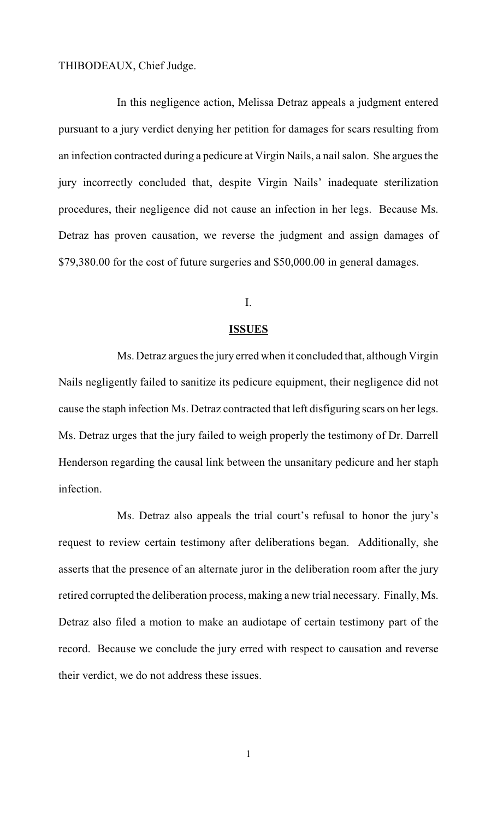THIBODEAUX, Chief Judge.

In this negligence action, Melissa Detraz appeals a judgment entered pursuant to a jury verdict denying her petition for damages for scars resulting from an infection contracted during a pedicure at Virgin Nails, a nail salon. She argues the jury incorrectly concluded that, despite Virgin Nails' inadequate sterilization procedures, their negligence did not cause an infection in her legs. Because Ms. Detraz has proven causation, we reverse the judgment and assign damages of \$79,380.00 for the cost of future surgeries and \$50,000.00 in general damages.

# I.

# **ISSUES**

Ms. Detraz argues the jury erred when it concluded that, although Virgin Nails negligently failed to sanitize its pedicure equipment, their negligence did not cause the staph infection Ms. Detraz contracted that left disfiguring scars on her legs. Ms. Detraz urges that the jury failed to weigh properly the testimony of Dr. Darrell Henderson regarding the causal link between the unsanitary pedicure and her staph infection.

Ms. Detraz also appeals the trial court's refusal to honor the jury's request to review certain testimony after deliberations began. Additionally, she asserts that the presence of an alternate juror in the deliberation room after the jury retired corrupted the deliberation process, making a new trial necessary. Finally, Ms. Detraz also filed a motion to make an audiotape of certain testimony part of the record. Because we conclude the jury erred with respect to causation and reverse their verdict, we do not address these issues.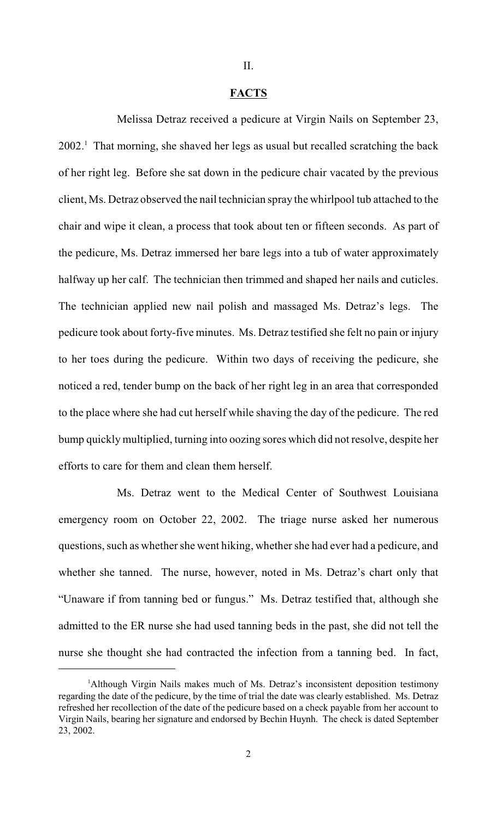# II.

#### **FACTS**

Melissa Detraz received a pedicure at Virgin Nails on September 23,  $2002<sup>1</sup>$ . That morning, she shaved her legs as usual but recalled scratching the back of her right leg. Before she sat down in the pedicure chair vacated by the previous client, Ms. Detraz observed the nail technician spray the whirlpool tub attached to the chair and wipe it clean, a process that took about ten or fifteen seconds. As part of the pedicure, Ms. Detraz immersed her bare legs into a tub of water approximately halfway up her calf. The technician then trimmed and shaped her nails and cuticles. The technician applied new nail polish and massaged Ms. Detraz's legs. The pedicure took about forty-five minutes. Ms. Detraz testified she felt no pain or injury to her toes during the pedicure. Within two days of receiving the pedicure, she noticed a red, tender bump on the back of her right leg in an area that corresponded to the place where she had cut herself while shaving the day of the pedicure. The red bump quickly multiplied, turning into oozing sores which did not resolve, despite her efforts to care for them and clean them herself.

Ms. Detraz went to the Medical Center of Southwest Louisiana emergency room on October 22, 2002. The triage nurse asked her numerous questions, such as whether she went hiking, whether she had ever had a pedicure, and whether she tanned. The nurse, however, noted in Ms. Detraz's chart only that "Unaware if from tanning bed or fungus." Ms. Detraz testified that, although she admitted to the ER nurse she had used tanning beds in the past, she did not tell the nurse she thought she had contracted the infection from a tanning bed. In fact,

<sup>&</sup>lt;sup>1</sup>Although Virgin Nails makes much of Ms. Detraz's inconsistent deposition testimony regarding the date of the pedicure, by the time of trial the date was clearly established. Ms. Detraz refreshed her recollection of the date of the pedicure based on a check payable from her account to Virgin Nails, bearing her signature and endorsed by Bechin Huynh. The check is dated September 23, 2002.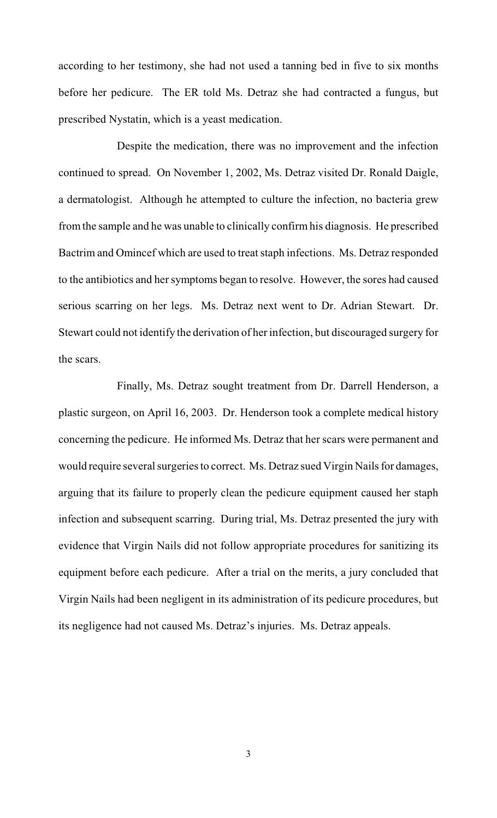according to her testimony, she had not used a tanning bed in five to six months before her pedicure. The ER told Ms. Detraz she had contracted a fungus, but prescribed Nystatin, which is a yeast medication.

Despite the medication, there was no improvement and the infection continued to spread. On November 1, 2002, Ms. Detraz visited Dr. Ronald Daigle, a dermatologist. Although he attempted to culture the infection, no bacteria grew from the sample and he was unable to clinically confirm his diagnosis. He prescribed Bactrim and Omincef which are used to treat staph infections. Ms. Detraz responded to the antibiotics and her symptoms began to resolve. However, the sores had caused serious scarring on her legs. Ms. Detraz next went to Dr. Adrian Stewart. Dr. Stewart could not identify the derivation of her infection, but discouraged surgery for the scars.

Finally, Ms. Detraz sought treatment from Dr. Darrell Henderson, a plastic surgeon, on April 16, 2003. Dr. Henderson took a complete medical history concerning the pedicure. He informed Ms. Detraz that her scars were permanent and would require several surgeriesto correct. Ms. Detraz sued Virgin Nails for damages, arguing that its failure to properly clean the pedicure equipment caused her staph infection and subsequent scarring. During trial, Ms. Detraz presented the jury with evidence that Virgin Nails did not follow appropriate procedures for sanitizing its equipment before each pedicure. After a trial on the merits, a jury concluded that Virgin Nails had been negligent in its administration of its pedicure procedures, but its negligence had not caused Ms. Detraz's injuries. Ms. Detraz appeals.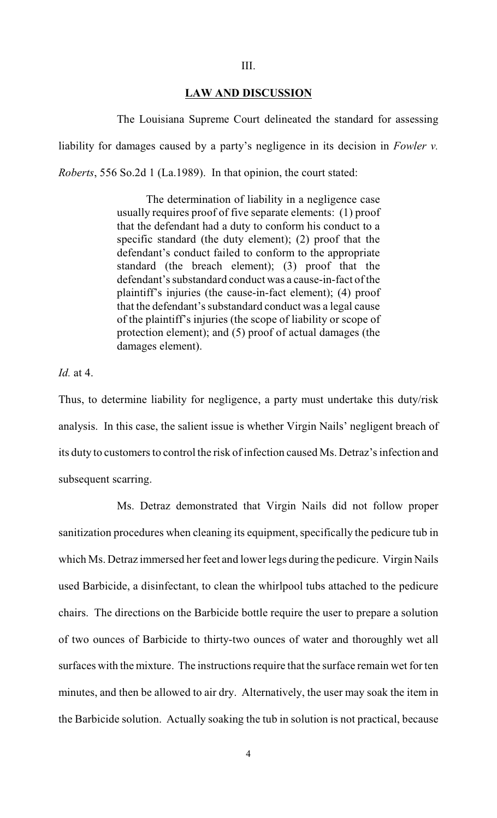#### **LAW AND DISCUSSION**

The Louisiana Supreme Court delineated the standard for assessing liability for damages caused by a party's negligence in its decision in *Fowler v. Roberts*, 556 So.2d 1 (La.1989). In that opinion, the court stated:

> The determination of liability in a negligence case usually requires proof of five separate elements: (1) proof that the defendant had a duty to conform his conduct to a specific standard (the duty element); (2) proof that the defendant's conduct failed to conform to the appropriate standard (the breach element); (3) proof that the defendant's substandard conduct was a cause-in-fact of the plaintiff's injuries (the cause-in-fact element); (4) proof that the defendant's substandard conduct was a legal cause of the plaintiff's injuries (the scope of liability or scope of protection element); and (5) proof of actual damages (the damages element).

## *Id.* at 4.

Thus, to determine liability for negligence, a party must undertake this duty/risk analysis. In this case, the salient issue is whether Virgin Nails' negligent breach of its duty to customers to control the risk of infection caused Ms. Detraz's infection and subsequent scarring.

Ms. Detraz demonstrated that Virgin Nails did not follow proper sanitization procedures when cleaning its equipment, specifically the pedicure tub in which Ms. Detraz immersed her feet and lower legs during the pedicure. Virgin Nails used Barbicide, a disinfectant, to clean the whirlpool tubs attached to the pedicure chairs. The directions on the Barbicide bottle require the user to prepare a solution of two ounces of Barbicide to thirty-two ounces of water and thoroughly wet all surfaces with the mixture. The instructions require that the surface remain wet for ten minutes, and then be allowed to air dry. Alternatively, the user may soak the item in the Barbicide solution. Actually soaking the tub in solution is not practical, because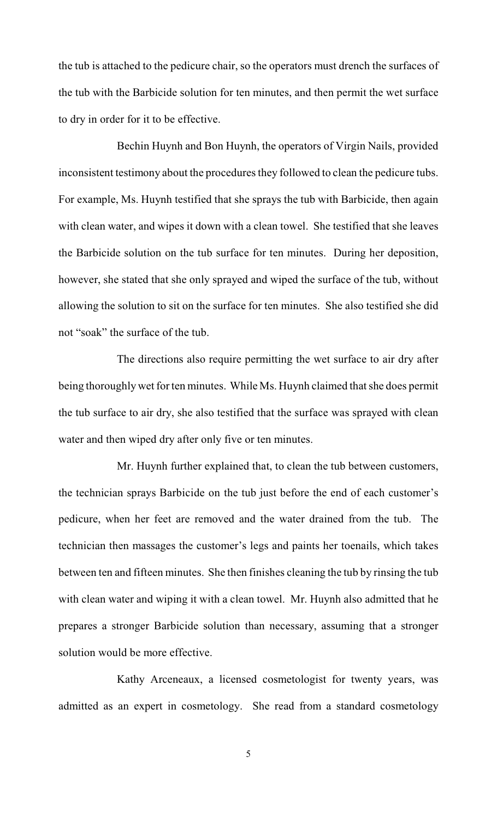the tub is attached to the pedicure chair, so the operators must drench the surfaces of the tub with the Barbicide solution for ten minutes, and then permit the wet surface to dry in order for it to be effective.

Bechin Huynh and Bon Huynh, the operators of Virgin Nails, provided inconsistent testimony about the procedures they followed to clean the pedicure tubs. For example, Ms. Huynh testified that she sprays the tub with Barbicide, then again with clean water, and wipes it down with a clean towel. She testified that she leaves the Barbicide solution on the tub surface for ten minutes. During her deposition, however, she stated that she only sprayed and wiped the surface of the tub, without allowing the solution to sit on the surface for ten minutes. She also testified she did not "soak" the surface of the tub.

The directions also require permitting the wet surface to air dry after being thoroughly wet for ten minutes. While Ms. Huynh claimed that she does permit the tub surface to air dry, she also testified that the surface was sprayed with clean water and then wiped dry after only five or ten minutes.

Mr. Huynh further explained that, to clean the tub between customers, the technician sprays Barbicide on the tub just before the end of each customer's pedicure, when her feet are removed and the water drained from the tub. The technician then massages the customer's legs and paints her toenails, which takes between ten and fifteen minutes. She then finishes cleaning the tub by rinsing the tub with clean water and wiping it with a clean towel. Mr. Huynh also admitted that he prepares a stronger Barbicide solution than necessary, assuming that a stronger solution would be more effective.

Kathy Arceneaux, a licensed cosmetologist for twenty years, was admitted as an expert in cosmetology. She read from a standard cosmetology

5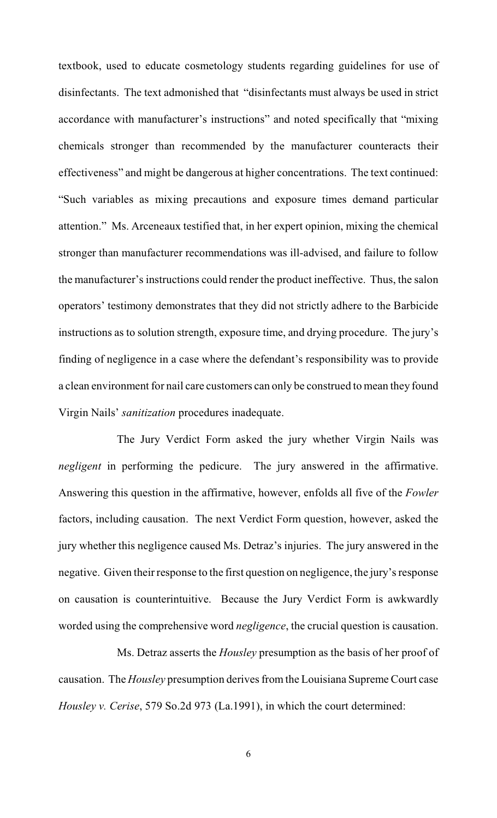textbook, used to educate cosmetology students regarding guidelines for use of disinfectants. The text admonished that "disinfectants must always be used in strict accordance with manufacturer's instructions" and noted specifically that "mixing chemicals stronger than recommended by the manufacturer counteracts their effectiveness" and might be dangerous at higher concentrations. The text continued: "Such variables as mixing precautions and exposure times demand particular attention." Ms. Arceneaux testified that, in her expert opinion, mixing the chemical stronger than manufacturer recommendations was ill-advised, and failure to follow the manufacturer's instructions could render the product ineffective. Thus, the salon operators' testimony demonstrates that they did not strictly adhere to the Barbicide instructions as to solution strength, exposure time, and drying procedure. The jury's finding of negligence in a case where the defendant's responsibility was to provide a clean environment for nail care customers can only be construed to mean they found Virgin Nails' *sanitization* procedures inadequate.

The Jury Verdict Form asked the jury whether Virgin Nails was *negligent* in performing the pedicure. The jury answered in the affirmative. Answering this question in the affirmative, however, enfolds all five of the *Fowler* factors, including causation. The next Verdict Form question, however, asked the jury whether this negligence caused Ms. Detraz's injuries. The jury answered in the negative. Given their response to the first question on negligence, the jury's response on causation is counterintuitive. Because the Jury Verdict Form is awkwardly worded using the comprehensive word *negligence*, the crucial question is causation.

Ms. Detraz asserts the *Housley* presumption as the basis of her proof of causation. The *Housley* presumption derives from the Louisiana Supreme Court case *Housley v. Cerise*, 579 So.2d 973 (La.1991), in which the court determined: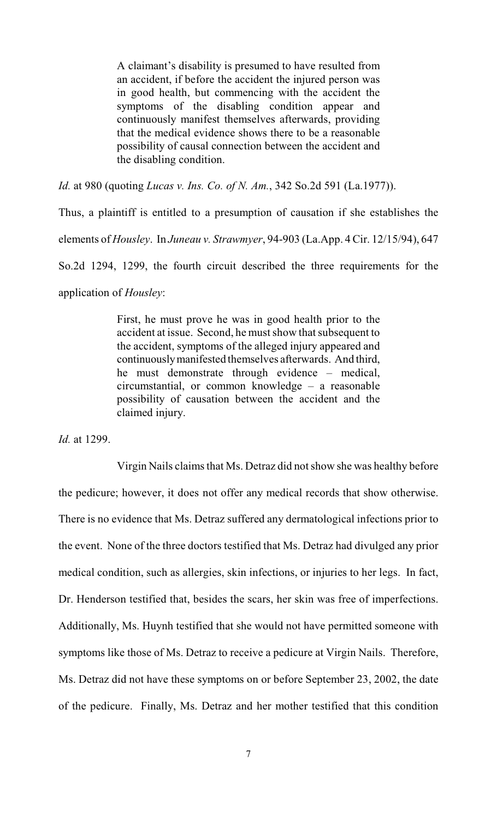A claimant's disability is presumed to have resulted from an accident, if before the accident the injured person was in good health, but commencing with the accident the symptoms of the disabling condition appear and continuously manifest themselves afterwards, providing that the medical evidence shows there to be a reasonable possibility of causal connection between the accident and the disabling condition.

*Id.* at 980 (quoting *Lucas v. Ins. Co. of N. Am.*, 342 So.2d 591 (La.1977)).

Thus, a plaintiff is entitled to a presumption of causation if she establishes the elements of *Housley*. In *Juneau v. Strawmyer*, 94-903 (La.App. 4 Cir. 12/15/94), 647 So.2d 1294, 1299, the fourth circuit described the three requirements for the application of *Housley*:

> First, he must prove he was in good health prior to the accident at issue. Second, he must show that subsequent to the accident, symptoms of the alleged injury appeared and continuously manifested themselves afterwards. And third, he must demonstrate through evidence – medical, circumstantial, or common knowledge – a reasonable possibility of causation between the accident and the claimed injury.

*Id.* at 1299.

Virgin Nails claims that Ms. Detraz did not show she was healthy before the pedicure; however, it does not offer any medical records that show otherwise. There is no evidence that Ms. Detraz suffered any dermatological infections prior to the event. None of the three doctors testified that Ms. Detraz had divulged any prior medical condition, such as allergies, skin infections, or injuries to her legs. In fact, Dr. Henderson testified that, besides the scars, her skin was free of imperfections. Additionally, Ms. Huynh testified that she would not have permitted someone with symptoms like those of Ms. Detraz to receive a pedicure at Virgin Nails. Therefore, Ms. Detraz did not have these symptoms on or before September 23, 2002, the date of the pedicure. Finally, Ms. Detraz and her mother testified that this condition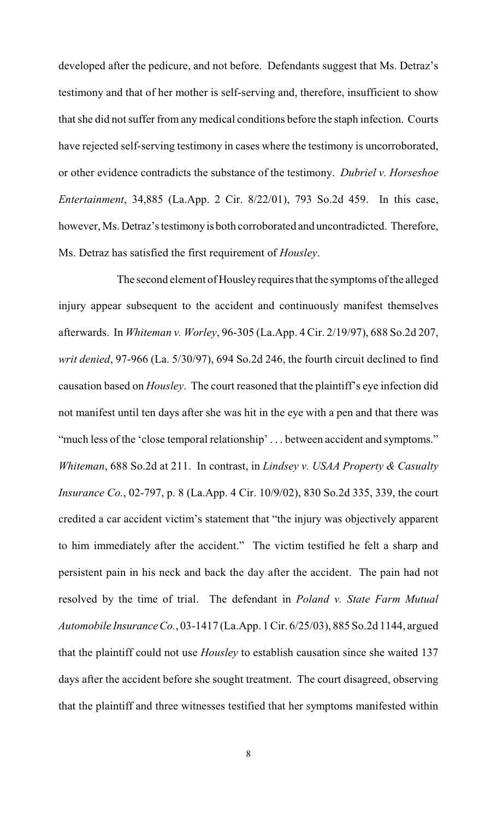developed after the pedicure, and not before. Defendants suggest that Ms. Detraz's testimony and that of her mother is self-serving and, therefore, insufficient to show that she did not suffer from any medical conditions before the staph infection. Courts have rejected self-serving testimony in cases where the testimony is uncorroborated, or other evidence contradicts the substance of the testimony. *Dubriel v. Horseshoe Entertainment*, 34,885 (La.App. 2 Cir. 8/22/01), 793 So.2d 459. In this case, however, Ms. Detraz's testimony is both corroborated and uncontradicted. Therefore, Ms. Detraz has satisfied the first requirement of *Housley*.

The second element of Housley requires that the symptoms of the alleged injury appear subsequent to the accident and continuously manifest themselves afterwards. In *Whiteman v. Worley*, 96-305 (La.App. 4 Cir. 2/19/97), 688 So.2d 207, *writ denied*, 97-966 (La. 5/30/97), 694 So.2d 246, the fourth circuit declined to find causation based on *Housley*. The court reasoned that the plaintiff's eye infection did not manifest until ten days after she was hit in the eye with a pen and that there was "much less of the 'close temporal relationship' . . . between accident and symptoms." *Whiteman*, 688 So.2d at 211. In contrast, in *Lindsey v. USAA Property & Casualty Insurance Co.*, 02-797, p. 8 (La.App. 4 Cir. 10/9/02), 830 So.2d 335, 339, the court credited a car accident victim's statement that "the injury was objectively apparent to him immediately after the accident." The victim testified he felt a sharp and persistent pain in his neck and back the day after the accident. The pain had not resolved by the time of trial. The defendant in *Poland v. State Farm Mutual Automobile Insurance Co.*, 03-1417 (La.App. 1 Cir. 6/25/03), 885 So.2d 1144, argued that the plaintiff could not use *Housley* to establish causation since she waited 137 days after the accident before she sought treatment. The court disagreed, observing that the plaintiff and three witnesses testified that her symptoms manifested within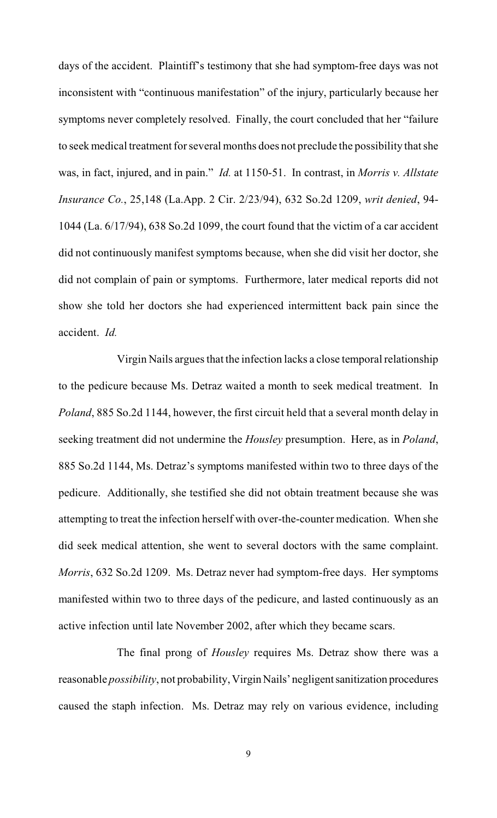days of the accident. Plaintiff's testimony that she had symptom-free days was not inconsistent with "continuous manifestation" of the injury, particularly because her symptoms never completely resolved. Finally, the court concluded that her "failure to seek medical treatment for several months does not preclude the possibility that she was, in fact, injured, and in pain." *Id.* at 1150-51. In contrast, in *Morris v. Allstate Insurance Co.*, 25,148 (La.App. 2 Cir. 2/23/94), 632 So.2d 1209, *writ denied*, 94- 1044 (La. 6/17/94), 638 So.2d 1099, the court found that the victim of a car accident did not continuously manifest symptoms because, when she did visit her doctor, she did not complain of pain or symptoms. Furthermore, later medical reports did not show she told her doctors she had experienced intermittent back pain since the accident. *Id.*

Virgin Nails argues that the infection lacks a close temporal relationship to the pedicure because Ms. Detraz waited a month to seek medical treatment. In *Poland*, 885 So.2d 1144, however, the first circuit held that a several month delay in seeking treatment did not undermine the *Housley* presumption. Here, as in *Poland*, 885 So.2d 1144, Ms. Detraz's symptoms manifested within two to three days of the pedicure. Additionally, she testified she did not obtain treatment because she was attempting to treat the infection herself with over-the-counter medication. When she did seek medical attention, she went to several doctors with the same complaint. *Morris*, 632 So.2d 1209. Ms. Detraz never had symptom-free days. Her symptoms manifested within two to three days of the pedicure, and lasted continuously as an active infection until late November 2002, after which they became scars.

The final prong of *Housley* requires Ms. Detraz show there was a reasonable *possibility*, not probability, Virgin Nails' negligent sanitization procedures caused the staph infection. Ms. Detraz may rely on various evidence, including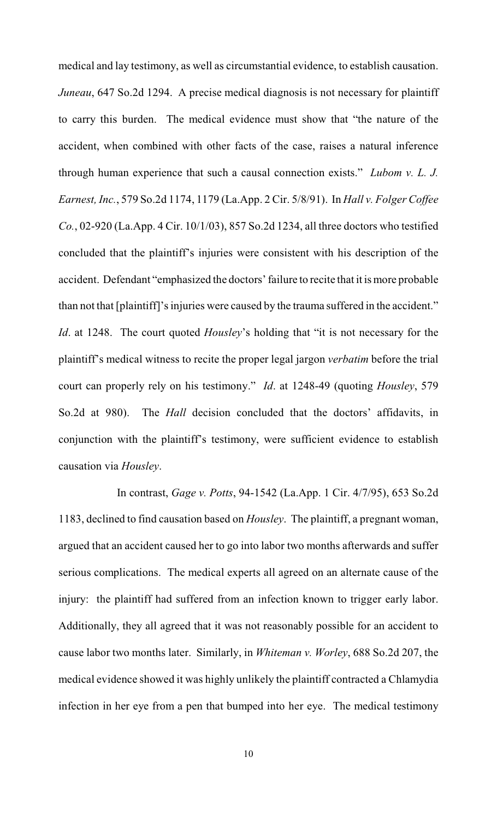medical and lay testimony, as well as circumstantial evidence, to establish causation. *Juneau*, 647 So.2d 1294. A precise medical diagnosis is not necessary for plaintiff to carry this burden. The medical evidence must show that "the nature of the accident, when combined with other facts of the case, raises a natural inference through human experience that such a causal connection exists." *Lubom v. L. J. Earnest, Inc.*, 579 So.2d 1174, 1179 (La.App. 2 Cir. 5/8/91). In *Hall v. Folger Coffee Co.*, 02-920 (La.App. 4 Cir. 10/1/03), 857 So.2d 1234, all three doctors who testified concluded that the plaintiff's injuries were consistent with his description of the accident. Defendant "emphasized the doctors' failure to recite that it is more probable than not that [plaintiff]'s injuries were caused by the trauma suffered in the accident." *Id*. at 1248. The court quoted *Housley*'s holding that "it is not necessary for the plaintiff's medical witness to recite the proper legal jargon *verbatim* before the trial court can properly rely on his testimony." *Id*. at 1248-49 (quoting *Housley*, 579 So.2d at 980). The *Hall* decision concluded that the doctors' affidavits, in conjunction with the plaintiff's testimony, were sufficient evidence to establish causation via *Housley*.

In contrast, *Gage v. Potts*, 94-1542 (La.App. 1 Cir. 4/7/95), 653 So.2d 1183, declined to find causation based on *Housley*. The plaintiff, a pregnant woman, argued that an accident caused her to go into labor two months afterwards and suffer serious complications. The medical experts all agreed on an alternate cause of the injury: the plaintiff had suffered from an infection known to trigger early labor. Additionally, they all agreed that it was not reasonably possible for an accident to cause labor two months later. Similarly, in *Whiteman v. Worley*, 688 So.2d 207, the medical evidence showed it was highly unlikely the plaintiff contracted a Chlamydia infection in her eye from a pen that bumped into her eye. The medical testimony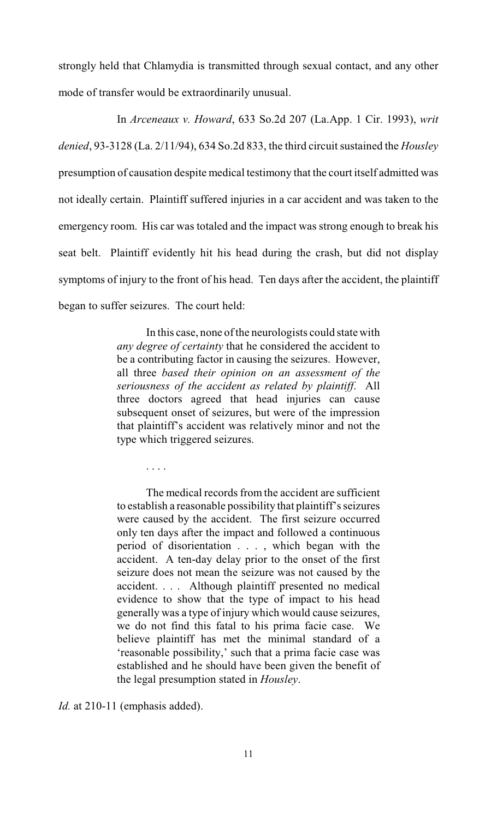strongly held that Chlamydia is transmitted through sexual contact, and any other mode of transfer would be extraordinarily unusual.

In *Arceneaux v. Howard*, 633 So.2d 207 (La.App. 1 Cir. 1993), *writ denied*, 93-3128 (La. 2/11/94), 634 So.2d 833, the third circuit sustained the *Housley* presumption of causation despite medical testimony that the court itself admitted was not ideally certain. Plaintiff suffered injuries in a car accident and was taken to the emergency room. His car was totaled and the impact was strong enough to break his seat belt. Plaintiff evidently hit his head during the crash, but did not display symptoms of injury to the front of his head. Ten days after the accident, the plaintiff began to suffer seizures. The court held:

> In this case, none of the neurologists could state with *any degree of certainty* that he considered the accident to be a contributing factor in causing the seizures. However, all three *based their opinion on an assessment of the seriousness of the accident as related by plaintiff*. All three doctors agreed that head injuries can cause subsequent onset of seizures, but were of the impression that plaintiff's accident was relatively minor and not the type which triggered seizures.

> The medical records from the accident are sufficient to establish a reasonable possibility that plaintiff's seizures were caused by the accident. The first seizure occurred only ten days after the impact and followed a continuous period of disorientation . . . , which began with the accident. A ten-day delay prior to the onset of the first seizure does not mean the seizure was not caused by the accident. . . . Although plaintiff presented no medical evidence to show that the type of impact to his head generally was a type of injury which would cause seizures, we do not find this fatal to his prima facie case. We believe plaintiff has met the minimal standard of a 'reasonable possibility,' such that a prima facie case was established and he should have been given the benefit of the legal presumption stated in *Housley*.

*Id.* at 210-11 (emphasis added).

. . . .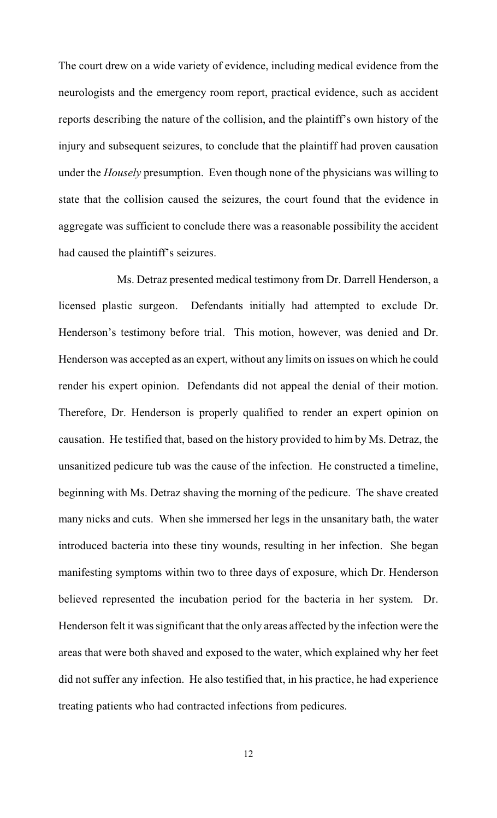The court drew on a wide variety of evidence, including medical evidence from the neurologists and the emergency room report, practical evidence, such as accident reports describing the nature of the collision, and the plaintiff's own history of the injury and subsequent seizures, to conclude that the plaintiff had proven causation under the *Housely* presumption. Even though none of the physicians was willing to state that the collision caused the seizures, the court found that the evidence in aggregate was sufficient to conclude there was a reasonable possibility the accident had caused the plaintiff's seizures.

Ms. Detraz presented medical testimony from Dr. Darrell Henderson, a licensed plastic surgeon. Defendants initially had attempted to exclude Dr. Henderson's testimony before trial. This motion, however, was denied and Dr. Henderson was accepted as an expert, without any limits on issues on which he could render his expert opinion. Defendants did not appeal the denial of their motion. Therefore, Dr. Henderson is properly qualified to render an expert opinion on causation. He testified that, based on the history provided to him by Ms. Detraz, the unsanitized pedicure tub was the cause of the infection. He constructed a timeline, beginning with Ms. Detraz shaving the morning of the pedicure. The shave created many nicks and cuts. When she immersed her legs in the unsanitary bath, the water introduced bacteria into these tiny wounds, resulting in her infection. She began manifesting symptoms within two to three days of exposure, which Dr. Henderson believed represented the incubation period for the bacteria in her system. Dr. Henderson felt it was significant that the only areas affected by the infection were the areas that were both shaved and exposed to the water, which explained why her feet did not suffer any infection. He also testified that, in his practice, he had experience treating patients who had contracted infections from pedicures.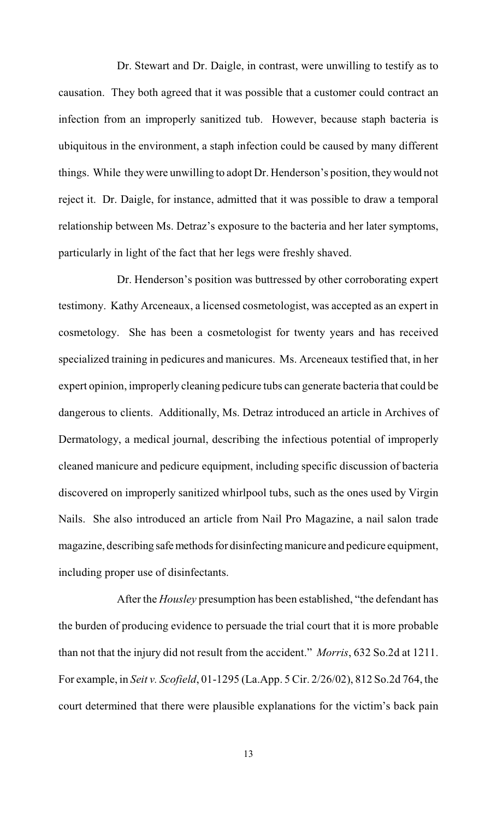Dr. Stewart and Dr. Daigle, in contrast, were unwilling to testify as to causation. They both agreed that it was possible that a customer could contract an infection from an improperly sanitized tub. However, because staph bacteria is ubiquitous in the environment, a staph infection could be caused by many different things. While they were unwilling to adopt Dr. Henderson's position, they would not reject it. Dr. Daigle, for instance, admitted that it was possible to draw a temporal relationship between Ms. Detraz's exposure to the bacteria and her later symptoms, particularly in light of the fact that her legs were freshly shaved.

Dr. Henderson's position was buttressed by other corroborating expert testimony. Kathy Arceneaux, a licensed cosmetologist, was accepted as an expert in cosmetology. She has been a cosmetologist for twenty years and has received specialized training in pedicures and manicures. Ms. Arceneaux testified that, in her expert opinion, improperly cleaning pedicure tubs can generate bacteria that could be dangerous to clients. Additionally, Ms. Detraz introduced an article in Archives of Dermatology, a medical journal, describing the infectious potential of improperly cleaned manicure and pedicure equipment, including specific discussion of bacteria discovered on improperly sanitized whirlpool tubs, such as the ones used by Virgin Nails. She also introduced an article from Nail Pro Magazine, a nail salon trade magazine, describing safe methods for disinfecting manicure and pedicure equipment, including proper use of disinfectants.

After the *Housley* presumption has been established, "the defendant has the burden of producing evidence to persuade the trial court that it is more probable than not that the injury did not result from the accident." *Morris*, 632 So.2d at 1211. For example, in *Seit v. Scofield*, 01-1295 (La.App. 5 Cir. 2/26/02), 812 So.2d 764, the court determined that there were plausible explanations for the victim's back pain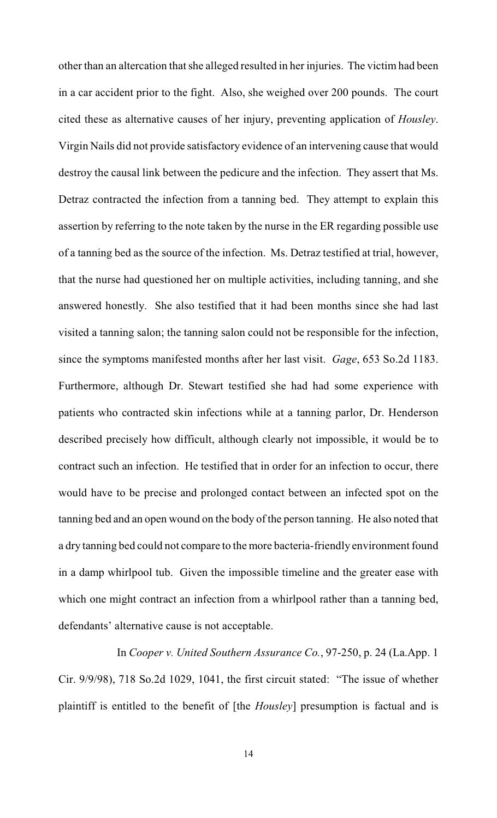other than an altercation that she alleged resulted in her injuries. The victim had been in a car accident prior to the fight. Also, she weighed over 200 pounds. The court cited these as alternative causes of her injury, preventing application of *Housley*. Virgin Nails did not provide satisfactory evidence of an intervening cause that would destroy the causal link between the pedicure and the infection. They assert that Ms. Detraz contracted the infection from a tanning bed. They attempt to explain this assertion by referring to the note taken by the nurse in the ER regarding possible use of a tanning bed as the source of the infection. Ms. Detraz testified at trial, however, that the nurse had questioned her on multiple activities, including tanning, and she answered honestly. She also testified that it had been months since she had last visited a tanning salon; the tanning salon could not be responsible for the infection, since the symptoms manifested months after her last visit. *Gage*, 653 So.2d 1183. Furthermore, although Dr. Stewart testified she had had some experience with patients who contracted skin infections while at a tanning parlor, Dr. Henderson described precisely how difficult, although clearly not impossible, it would be to contract such an infection. He testified that in order for an infection to occur, there would have to be precise and prolonged contact between an infected spot on the tanning bed and an open wound on the body of the person tanning. He also noted that a dry tanning bed could not compare to the more bacteria-friendly environment found in a damp whirlpool tub. Given the impossible timeline and the greater ease with which one might contract an infection from a whirlpool rather than a tanning bed, defendants' alternative cause is not acceptable.

In *Cooper v. United Southern Assurance Co.*, 97-250, p. 24 (La.App. 1 Cir. 9/9/98), 718 So.2d 1029, 1041, the first circuit stated: "The issue of whether plaintiff is entitled to the benefit of [the *Housley*] presumption is factual and is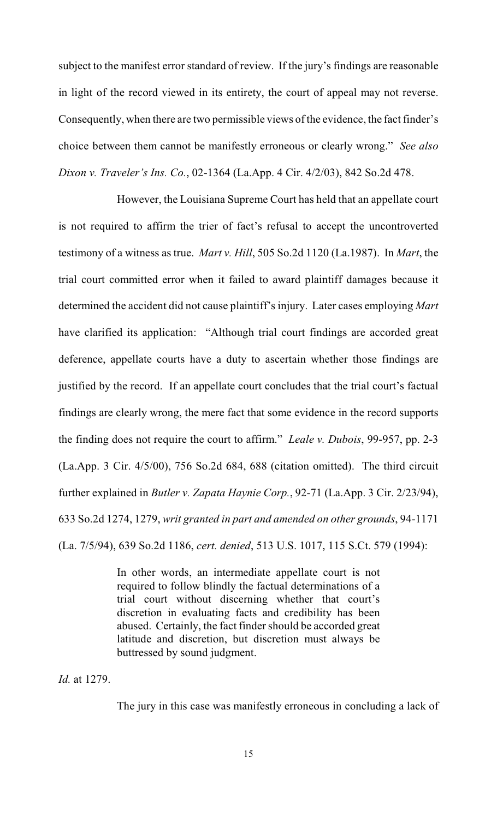subject to the manifest error standard of review. If the jury's findings are reasonable in light of the record viewed in its entirety, the court of appeal may not reverse. Consequently, when there are two permissible views of the evidence, the fact finder's choice between them cannot be manifestly erroneous or clearly wrong." *See also Dixon v. Traveler's Ins. Co.*, 02-1364 (La.App. 4 Cir. 4/2/03), 842 So.2d 478.

However, the Louisiana Supreme Court has held that an appellate court is not required to affirm the trier of fact's refusal to accept the uncontroverted testimony of a witness as true. *Mart v. Hill*, 505 So.2d 1120 (La.1987). In *Mart*, the trial court committed error when it failed to award plaintiff damages because it determined the accident did not cause plaintiff's injury. Later cases employing *Mart* have clarified its application: "Although trial court findings are accorded great deference, appellate courts have a duty to ascertain whether those findings are justified by the record. If an appellate court concludes that the trial court's factual findings are clearly wrong, the mere fact that some evidence in the record supports the finding does not require the court to affirm." *Leale v. Dubois*, 99-957, pp. 2-3 (La.App. 3 Cir. 4/5/00), 756 So.2d 684, 688 (citation omitted). The third circuit further explained in *Butler v. Zapata Haynie Corp.*, 92-71 (La.App. 3 Cir. 2/23/94), 633 So.2d 1274, 1279, *writ granted in part and amended on other grounds*, 94-1171 (La. 7/5/94), 639 So.2d 1186, *cert. denied*, 513 U.S. 1017, 115 S.Ct. 579 (1994):

> In other words, an intermediate appellate court is not required to follow blindly the factual determinations of a trial court without discerning whether that court's discretion in evaluating facts and credibility has been abused. Certainly, the fact finder should be accorded great latitude and discretion, but discretion must always be buttressed by sound judgment.

*Id.* at 1279.

The jury in this case was manifestly erroneous in concluding a lack of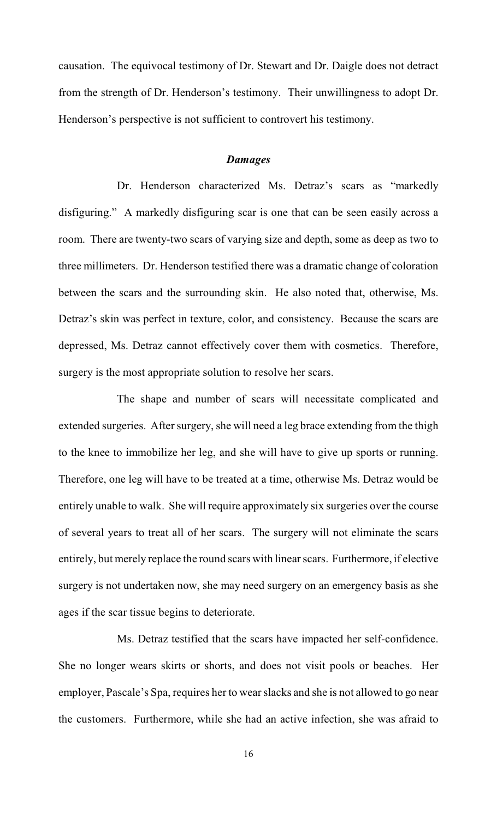causation. The equivocal testimony of Dr. Stewart and Dr. Daigle does not detract from the strength of Dr. Henderson's testimony. Their unwillingness to adopt Dr. Henderson's perspective is not sufficient to controvert his testimony.

#### *Damages*

Dr. Henderson characterized Ms. Detraz's scars as "markedly disfiguring." A markedly disfiguring scar is one that can be seen easily across a room. There are twenty-two scars of varying size and depth, some as deep as two to three millimeters. Dr. Henderson testified there was a dramatic change of coloration between the scars and the surrounding skin. He also noted that, otherwise, Ms. Detraz's skin was perfect in texture, color, and consistency. Because the scars are depressed, Ms. Detraz cannot effectively cover them with cosmetics. Therefore, surgery is the most appropriate solution to resolve her scars.

The shape and number of scars will necessitate complicated and extended surgeries. After surgery, she will need a leg brace extending from the thigh to the knee to immobilize her leg, and she will have to give up sports or running. Therefore, one leg will have to be treated at a time, otherwise Ms. Detraz would be entirely unable to walk. She will require approximately six surgeries over the course of several years to treat all of her scars. The surgery will not eliminate the scars entirely, but merely replace the round scars with linear scars. Furthermore, if elective surgery is not undertaken now, she may need surgery on an emergency basis as she ages if the scar tissue begins to deteriorate.

Ms. Detraz testified that the scars have impacted her self-confidence. She no longer wears skirts or shorts, and does not visit pools or beaches. Her employer, Pascale's Spa, requires her to wear slacks and she is not allowed to go near the customers. Furthermore, while she had an active infection, she was afraid to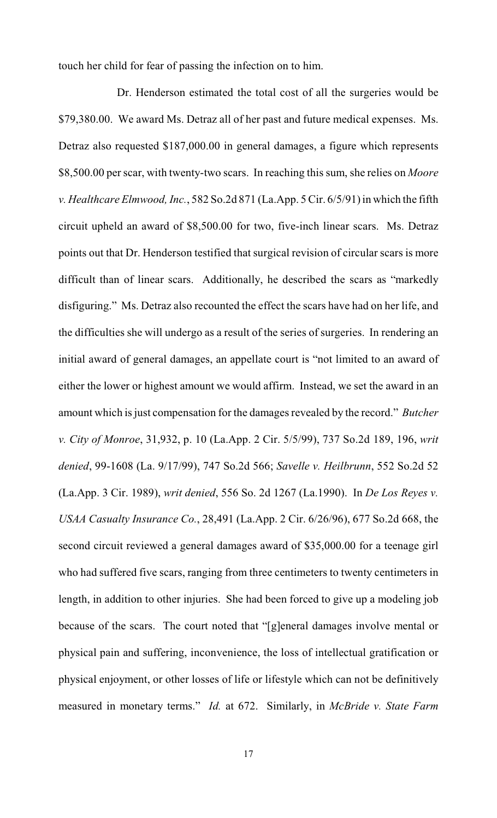touch her child for fear of passing the infection on to him.

Dr. Henderson estimated the total cost of all the surgeries would be \$79,380.00. We award Ms. Detraz all of her past and future medical expenses. Ms. Detraz also requested \$187,000.00 in general damages, a figure which represents \$8,500.00 per scar, with twenty-two scars. In reaching this sum, she relies on *Moore v. Healthcare Elmwood, Inc.*, 582 So.2d 871 (La.App. 5 Cir. 6/5/91) in which the fifth circuit upheld an award of \$8,500.00 for two, five-inch linear scars. Ms. Detraz points out that Dr. Henderson testified that surgical revision of circular scars is more difficult than of linear scars. Additionally, he described the scars as "markedly disfiguring." Ms. Detraz also recounted the effect the scars have had on her life, and the difficulties she will undergo as a result of the series of surgeries. In rendering an initial award of general damages, an appellate court is "not limited to an award of either the lower or highest amount we would affirm. Instead, we set the award in an amount which is just compensation for the damages revealed by the record." *Butcher v. City of Monroe*, 31,932, p. 10 (La.App. 2 Cir. 5/5/99), 737 So.2d 189, 196, *writ denied*, 99-1608 (La. 9/17/99), 747 So.2d 566; *Savelle v. Heilbrunn*, 552 So.2d 52 (La.App. 3 Cir. 1989), *writ denied*, 556 So. 2d 1267 (La.1990). In *De Los Reyes v. USAA Casualty Insurance Co.*, 28,491 (La.App. 2 Cir. 6/26/96), 677 So.2d 668, the second circuit reviewed a general damages award of \$35,000.00 for a teenage girl who had suffered five scars, ranging from three centimeters to twenty centimeters in length, in addition to other injuries. She had been forced to give up a modeling job because of the scars. The court noted that "[g]eneral damages involve mental or physical pain and suffering, inconvenience, the loss of intellectual gratification or physical enjoyment, or other losses of life or lifestyle which can not be definitively measured in monetary terms." *Id.* at 672. Similarly, in *McBride v. State Farm*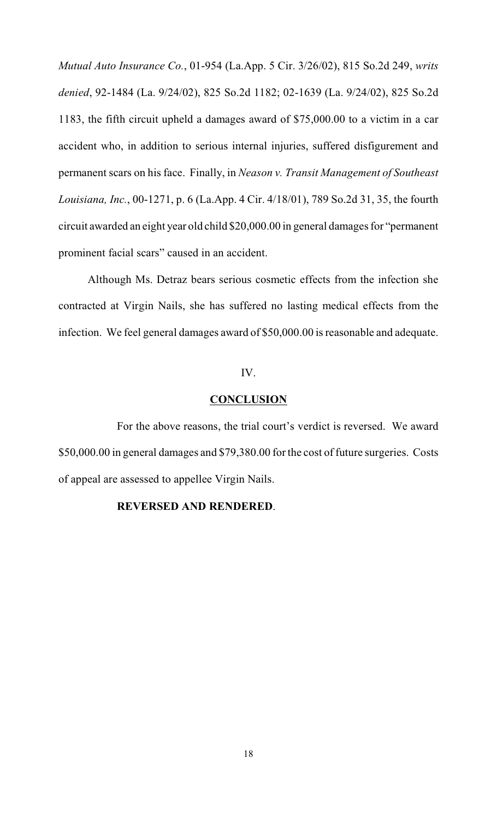*Mutual Auto Insurance Co.*, 01-954 (La.App. 5 Cir. 3/26/02), 815 So.2d 249, *writs denied*, 92-1484 (La. 9/24/02), 825 So.2d 1182; 02-1639 (La. 9/24/02), 825 So.2d 1183, the fifth circuit upheld a damages award of \$75,000.00 to a victim in a car accident who, in addition to serious internal injuries, suffered disfigurement and permanent scars on his face. Finally, in *Neason v. Transit Management of Southeast Louisiana, Inc.*, 00-1271, p. 6 (La.App. 4 Cir. 4/18/01), 789 So.2d 31, 35, the fourth circuit awarded an eight year old child \$20,000.00 in general damages for "permanent prominent facial scars" caused in an accident.

Although Ms. Detraz bears serious cosmetic effects from the infection she contracted at Virgin Nails, she has suffered no lasting medical effects from the infection. We feel general damages award of \$50,000.00 is reasonable and adequate.

#### IV.

## **CONCLUSION**

For the above reasons, the trial court's verdict is reversed. We award \$50,000.00 in general damages and \$79,380.00 for the cost of future surgeries. Costs of appeal are assessed to appellee Virgin Nails.

## **REVERSED AND RENDERED**.